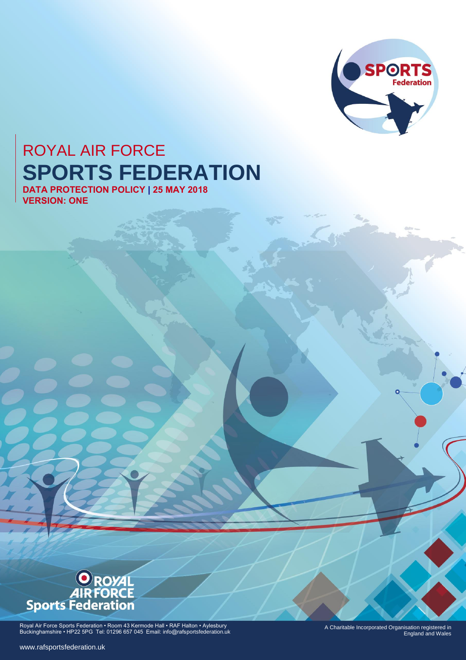

# ROYAL AIR FORCE **SPORTS FEDERATION**

**DATA PROTECTION POLICY | 25 MAY 2018 VERSION: ONE**



Royal Air Force Sports Federation • Room 43 Kermode Hall • RAF Halton • Aylesbury Buckinghamshire • HP22 5PG Tel: 01296 657 045 Email: info@rafsportsfederation.uk

A Charitable Incorporated Organisation registered in England and Wales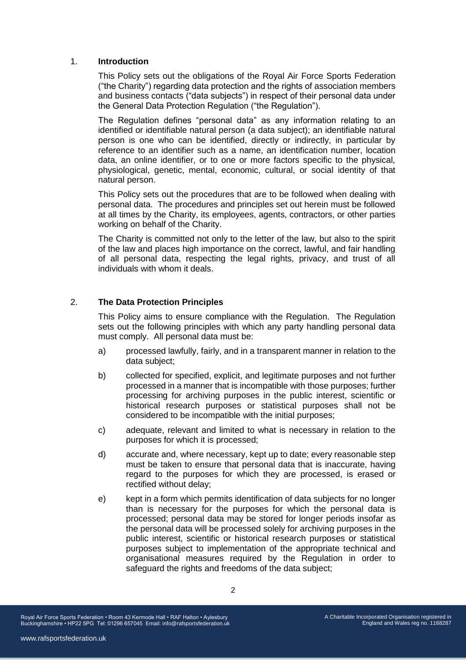## 1. **Introduction**

This Policy sets out the obligations of the Royal Air Force Sports Federation ("the Charity") regarding data protection and the rights of association members and business contacts ("data subjects") in respect of their personal data under the General Data Protection Regulation ("the Regulation").

The Regulation defines "personal data" as any information relating to an identified or identifiable natural person (a data subject); an identifiable natural person is one who can be identified, directly or indirectly, in particular by reference to an identifier such as a name, an identification number, location data, an online identifier, or to one or more factors specific to the physical, physiological, genetic, mental, economic, cultural, or social identity of that natural person.

This Policy sets out the procedures that are to be followed when dealing with personal data. The procedures and principles set out herein must be followed at all times by the Charity, its employees, agents, contractors, or other parties working on behalf of the Charity.

The Charity is committed not only to the letter of the law, but also to the spirit of the law and places high importance on the correct, lawful, and fair handling of all personal data, respecting the legal rights, privacy, and trust of all individuals with whom it deals.

## 2. **The Data Protection Principles**

This Policy aims to ensure compliance with the Regulation. The Regulation sets out the following principles with which any party handling personal data must comply. All personal data must be:

- a) processed lawfully, fairly, and in a transparent manner in relation to the data subject;
- b) collected for specified, explicit, and legitimate purposes and not further processed in a manner that is incompatible with those purposes; further processing for archiving purposes in the public interest, scientific or historical research purposes or statistical purposes shall not be considered to be incompatible with the initial purposes;
- c) adequate, relevant and limited to what is necessary in relation to the purposes for which it is processed;
- d) accurate and, where necessary, kept up to date; every reasonable step must be taken to ensure that personal data that is inaccurate, having regard to the purposes for which they are processed, is erased or rectified without delay;
- e) kept in a form which permits identification of data subjects for no longer than is necessary for the purposes for which the personal data is processed; personal data may be stored for longer periods insofar as the personal data will be processed solely for archiving purposes in the public interest, scientific or historical research purposes or statistical purposes subject to implementation of the appropriate technical and organisational measures required by the Regulation in order to safeguard the rights and freedoms of the data subject;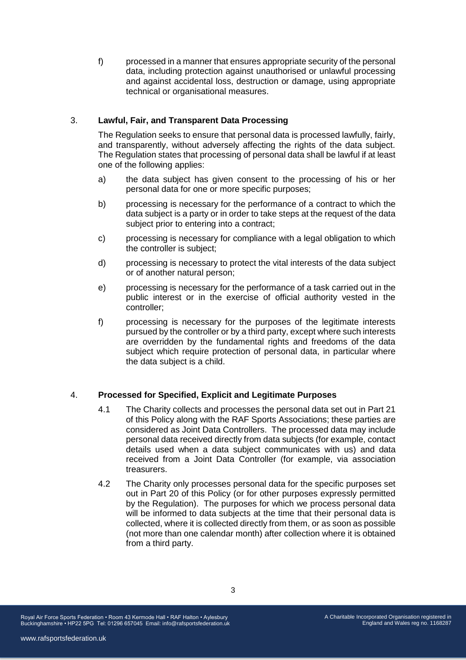f) processed in a manner that ensures appropriate security of the personal data, including protection against unauthorised or unlawful processing and against accidental loss, destruction or damage, using appropriate technical or organisational measures.

## 3. **Lawful, Fair, and Transparent Data Processing**

The Regulation seeks to ensure that personal data is processed lawfully, fairly, and transparently, without adversely affecting the rights of the data subject. The Regulation states that processing of personal data shall be lawful if at least one of the following applies:

- a) the data subject has given consent to the processing of his or her personal data for one or more specific purposes;
- b) processing is necessary for the performance of a contract to which the data subject is a party or in order to take steps at the request of the data subject prior to entering into a contract;
- c) processing is necessary for compliance with a legal obligation to which the controller is subject;
- d) processing is necessary to protect the vital interests of the data subject or of another natural person;
- e) processing is necessary for the performance of a task carried out in the public interest or in the exercise of official authority vested in the controller;
- f) processing is necessary for the purposes of the legitimate interests pursued by the controller or by a third party, except where such interests are overridden by the fundamental rights and freedoms of the data subject which require protection of personal data, in particular where the data subject is a child.

## 4. **Processed for Specified, Explicit and Legitimate Purposes**

- 4.1 The Charity collects and processes the personal data set out in Part 21 of this Policy along with the RAF Sports Associations; these parties are considered as Joint Data Controllers. The processed data may include personal data received directly from data subjects (for example, contact details used when a data subject communicates with us) and data received from a Joint Data Controller (for example, via association treasurers.
- 4.2 The Charity only processes personal data for the specific purposes set out in Part 20 of this Policy (or for other purposes expressly permitted by the Regulation). The purposes for which we process personal data will be informed to data subjects at the time that their personal data is collected, where it is collected directly from them, or as soon as possible (not more than one calendar month) after collection where it is obtained from a third party.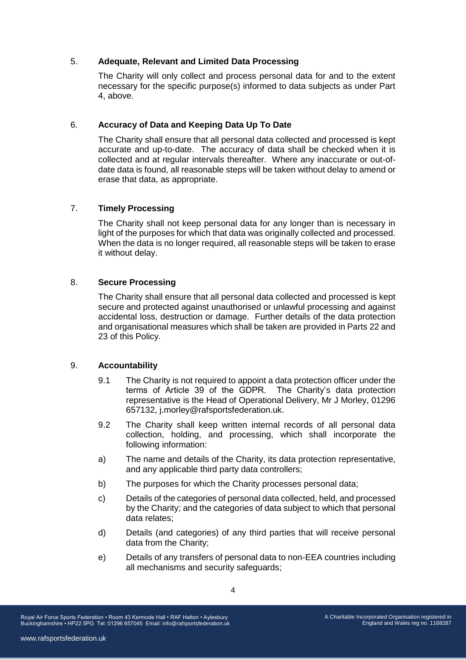## 5. **Adequate, Relevant and Limited Data Processing**

The Charity will only collect and process personal data for and to the extent necessary for the specific purpose(s) informed to data subjects as under Part 4, above.

## 6. **Accuracy of Data and Keeping Data Up To Date**

The Charity shall ensure that all personal data collected and processed is kept accurate and up-to-date. The accuracy of data shall be checked when it is collected and at regular intervals thereafter. Where any inaccurate or out-ofdate data is found, all reasonable steps will be taken without delay to amend or erase that data, as appropriate.

# 7. **Timely Processing**

The Charity shall not keep personal data for any longer than is necessary in light of the purposes for which that data was originally collected and processed. When the data is no longer required, all reasonable steps will be taken to erase it without delay.

# 8. **Secure Processing**

The Charity shall ensure that all personal data collected and processed is kept secure and protected against unauthorised or unlawful processing and against accidental loss, destruction or damage. Further details of the data protection and organisational measures which shall be taken are provided in Parts 22 and 23 of this Policy.

## 9. **Accountability**

- 9.1 The Charity is not required to appoint a data protection officer under the terms of Article 39 of the GDPR. The Charity's data protection representative is the Head of Operational Delivery, Mr J Morley, 01296 657132, j.morley@rafsportsfederation.uk.
- 9.2 The Charity shall keep written internal records of all personal data collection, holding, and processing, which shall incorporate the following information:
- a) The name and details of the Charity, its data protection representative, and any applicable third party data controllers;
- b) The purposes for which the Charity processes personal data;
- c) Details of the categories of personal data collected, held, and processed by the Charity; and the categories of data subject to which that personal data relates;
- d) Details (and categories) of any third parties that will receive personal data from the Charity;
- e) Details of any transfers of personal data to non-EEA countries including all mechanisms and security safeguards;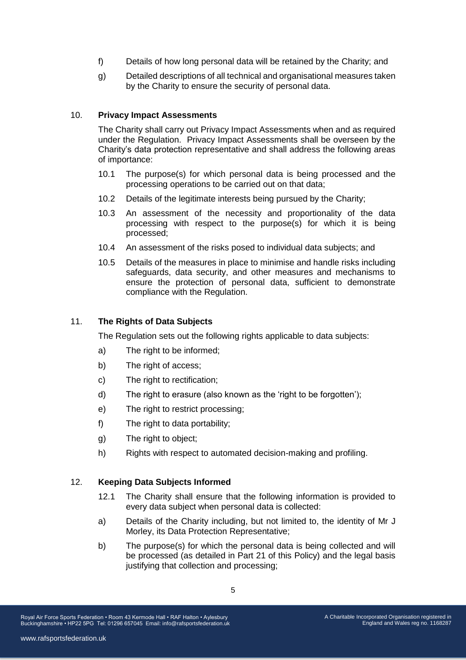- f) Details of how long personal data will be retained by the Charity; and
- g) Detailed descriptions of all technical and organisational measures taken by the Charity to ensure the security of personal data.

## 10. **Privacy Impact Assessments**

The Charity shall carry out Privacy Impact Assessments when and as required under the Regulation. Privacy Impact Assessments shall be overseen by the Charity's data protection representative and shall address the following areas of importance:

- 10.1 The purpose(s) for which personal data is being processed and the processing operations to be carried out on that data;
- 10.2 Details of the legitimate interests being pursued by the Charity;
- 10.3 An assessment of the necessity and proportionality of the data processing with respect to the purpose(s) for which it is being processed;
- 10.4 An assessment of the risks posed to individual data subjects; and
- 10.5 Details of the measures in place to minimise and handle risks including safeguards, data security, and other measures and mechanisms to ensure the protection of personal data, sufficient to demonstrate compliance with the Regulation.

## 11. **The Rights of Data Subjects**

The Regulation sets out the following rights applicable to data subjects:

- a) The right to be informed;
- b) The right of access;
- c) The right to rectification;
- d) The right to erasure (also known as the 'right to be forgotten');
- e) The right to restrict processing;
- f) The right to data portability;
- g) The right to object;
- h) Rights with respect to automated decision-making and profiling.

#### 12. **Keeping Data Subjects Informed**

- 12.1 The Charity shall ensure that the following information is provided to every data subject when personal data is collected:
- a) Details of the Charity including, but not limited to, the identity of Mr J Morley, its Data Protection Representative;
- b) The purpose(s) for which the personal data is being collected and will be processed (as detailed in Part 21 of this Policy) and the legal basis justifying that collection and processing;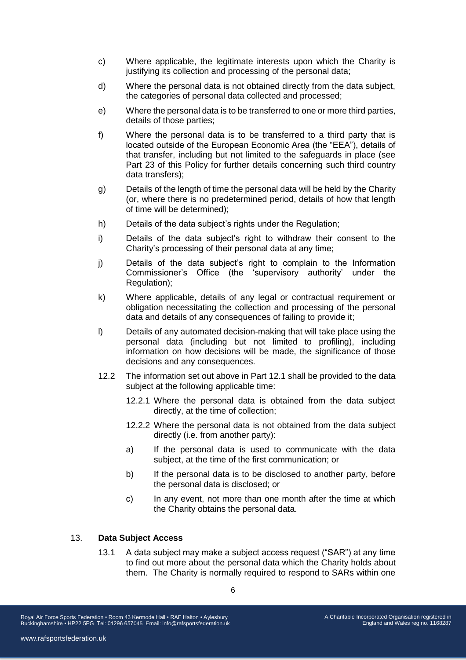- c) Where applicable, the legitimate interests upon which the Charity is justifying its collection and processing of the personal data;
- d) Where the personal data is not obtained directly from the data subject, the categories of personal data collected and processed;
- e) Where the personal data is to be transferred to one or more third parties, details of those parties;
- f) Where the personal data is to be transferred to a third party that is located outside of the European Economic Area (the "EEA"), details of that transfer, including but not limited to the safeguards in place (see Part 23 of this Policy for further details concerning such third country data transfers);
- g) Details of the length of time the personal data will be held by the Charity (or, where there is no predetermined period, details of how that length of time will be determined);
- h) Details of the data subject's rights under the Regulation;
- i) Details of the data subject's right to withdraw their consent to the Charity's processing of their personal data at any time;
- j) Details of the data subject's right to complain to the Information Commissioner's Office (the 'supervisory authority' under the Regulation);
- k) Where applicable, details of any legal or contractual requirement or obligation necessitating the collection and processing of the personal data and details of any consequences of failing to provide it;
- l) Details of any automated decision-making that will take place using the personal data (including but not limited to profiling), including information on how decisions will be made, the significance of those decisions and any consequences.
- 12.2 The information set out above in Part 12.1 shall be provided to the data subject at the following applicable time:
	- 12.2.1 Where the personal data is obtained from the data subject directly, at the time of collection;
	- 12.2.2 Where the personal data is not obtained from the data subject directly (i.e. from another party):
	- a) If the personal data is used to communicate with the data subject, at the time of the first communication; or
	- b) If the personal data is to be disclosed to another party, before the personal data is disclosed; or
	- c) In any event, not more than one month after the time at which the Charity obtains the personal data.

### 13. **Data Subject Access**

13.1 A data subject may make a subject access request ("SAR") at any time to find out more about the personal data which the Charity holds about them. The Charity is normally required to respond to SARs within one

Royal Air Force Sports Federation • Room 43 Kermode Hall • RAF Halton • Aylesbury Buckinghamshire • HP22 5PG Tel: 01296 657045 Email: info@rafsportsfederation.uk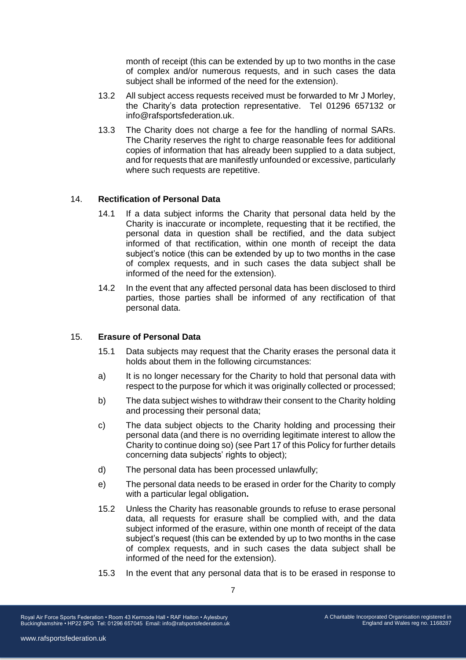month of receipt (this can be extended by up to two months in the case of complex and/or numerous requests, and in such cases the data subject shall be informed of the need for the extension).

- 13.2 All subject access requests received must be forwarded to Mr J Morley, the Charity's data protection representative. Tel 01296 657132 or info@rafsportsfederation.uk.
- 13.3 The Charity does not charge a fee for the handling of normal SARs. The Charity reserves the right to charge reasonable fees for additional copies of information that has already been supplied to a data subject, and for requests that are manifestly unfounded or excessive, particularly where such requests are repetitive.

### 14. **Rectification of Personal Data**

- 14.1 If a data subject informs the Charity that personal data held by the Charity is inaccurate or incomplete, requesting that it be rectified, the personal data in question shall be rectified, and the data subject informed of that rectification, within one month of receipt the data subject's notice (this can be extended by up to two months in the case of complex requests, and in such cases the data subject shall be informed of the need for the extension).
- 14.2 In the event that any affected personal data has been disclosed to third parties, those parties shall be informed of any rectification of that personal data.

## 15. **Erasure of Personal Data**

- 15.1 Data subjects may request that the Charity erases the personal data it holds about them in the following circumstances:
- a) It is no longer necessary for the Charity to hold that personal data with respect to the purpose for which it was originally collected or processed;
- b) The data subject wishes to withdraw their consent to the Charity holding and processing their personal data;
- c) The data subject objects to the Charity holding and processing their personal data (and there is no overriding legitimate interest to allow the Charity to continue doing so) (see Part 17 of this Policy for further details concerning data subjects' rights to object);
- d) The personal data has been processed unlawfully;
- e) The personal data needs to be erased in order for the Charity to comply with a particular legal obligation**.**
- 15.2 Unless the Charity has reasonable grounds to refuse to erase personal data, all requests for erasure shall be complied with, and the data subject informed of the erasure, within one month of receipt of the data subject's request (this can be extended by up to two months in the case of complex requests, and in such cases the data subject shall be informed of the need for the extension).
- 15.3 In the event that any personal data that is to be erased in response to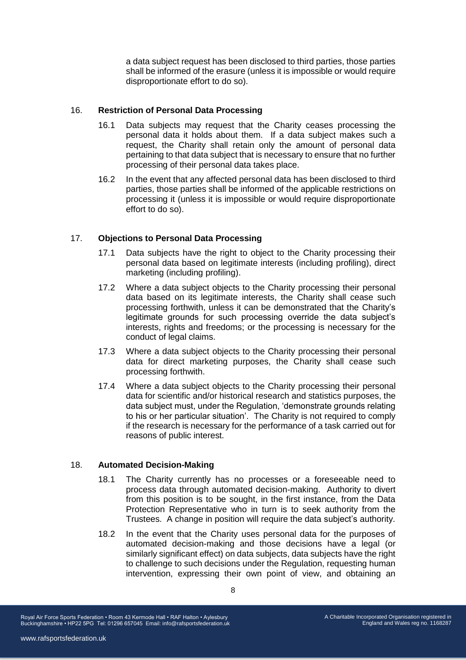a data subject request has been disclosed to third parties, those parties shall be informed of the erasure (unless it is impossible or would require disproportionate effort to do so).

## 16. **Restriction of Personal Data Processing**

- 16.1 Data subjects may request that the Charity ceases processing the personal data it holds about them. If a data subject makes such a request, the Charity shall retain only the amount of personal data pertaining to that data subject that is necessary to ensure that no further processing of their personal data takes place.
- 16.2 In the event that any affected personal data has been disclosed to third parties, those parties shall be informed of the applicable restrictions on processing it (unless it is impossible or would require disproportionate effort to do so).

# 17. **Objections to Personal Data Processing**

- 17.1 Data subjects have the right to object to the Charity processing their personal data based on legitimate interests (including profiling), direct marketing (including profiling).
- 17.2 Where a data subject objects to the Charity processing their personal data based on its legitimate interests, the Charity shall cease such processing forthwith, unless it can be demonstrated that the Charity's legitimate grounds for such processing override the data subject's interests, rights and freedoms; or the processing is necessary for the conduct of legal claims.
- 17.3 Where a data subject objects to the Charity processing their personal data for direct marketing purposes, the Charity shall cease such processing forthwith.
- 17.4 Where a data subject objects to the Charity processing their personal data for scientific and/or historical research and statistics purposes, the data subject must, under the Regulation, 'demonstrate grounds relating to his or her particular situation'. The Charity is not required to comply if the research is necessary for the performance of a task carried out for reasons of public interest.

## 18. **Automated Decision-Making**

- 18.1 The Charity currently has no processes or a foreseeable need to process data through automated decision-making. Authority to divert from this position is to be sought, in the first instance, from the Data Protection Representative who in turn is to seek authority from the Trustees. A change in position will require the data subject's authority.
- 18.2 In the event that the Charity uses personal data for the purposes of automated decision-making and those decisions have a legal (or similarly significant effect) on data subjects, data subjects have the right to challenge to such decisions under the Regulation, requesting human intervention, expressing their own point of view, and obtaining an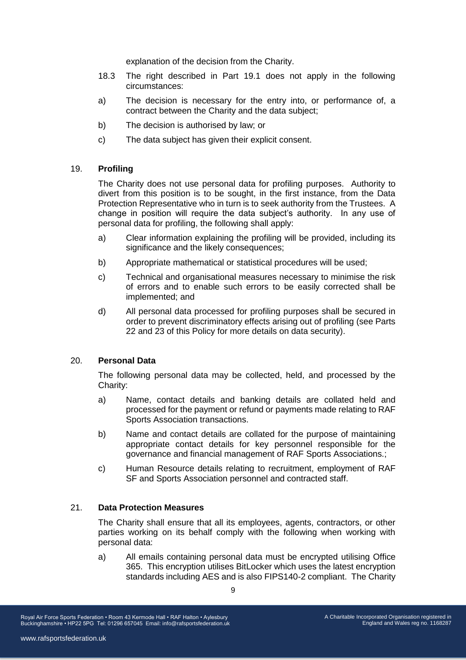explanation of the decision from the Charity.

- 18.3 The right described in Part 19.1 does not apply in the following circumstances:
- a) The decision is necessary for the entry into, or performance of, a contract between the Charity and the data subject;
- b) The decision is authorised by law; or
- c) The data subject has given their explicit consent.

## 19. **Profiling**

The Charity does not use personal data for profiling purposes. Authority to divert from this position is to be sought, in the first instance, from the Data Protection Representative who in turn is to seek authority from the Trustees. A change in position will require the data subject's authority. In any use of personal data for profiling, the following shall apply:

- a) Clear information explaining the profiling will be provided, including its significance and the likely consequences;
- b) Appropriate mathematical or statistical procedures will be used;
- c) Technical and organisational measures necessary to minimise the risk of errors and to enable such errors to be easily corrected shall be implemented; and
- d) All personal data processed for profiling purposes shall be secured in order to prevent discriminatory effects arising out of profiling (see Parts 22 and 23 of this Policy for more details on data security).

## 20. **Personal Data**

The following personal data may be collected, held, and processed by the Charity:

- a) Name, contact details and banking details are collated held and processed for the payment or refund or payments made relating to RAF Sports Association transactions.
- b) Name and contact details are collated for the purpose of maintaining appropriate contact details for key personnel responsible for the governance and financial management of RAF Sports Associations.;
- c) Human Resource details relating to recruitment, employment of RAF SF and Sports Association personnel and contracted staff.

#### 21. **Data Protection Measures**

The Charity shall ensure that all its employees, agents, contractors, or other parties working on its behalf comply with the following when working with personal data:

a) All emails containing personal data must be encrypted utilising Office 365. This encryption utilises BitLocker which uses the latest encryption standards including AES and is also FIPS140-2 compliant. The Charity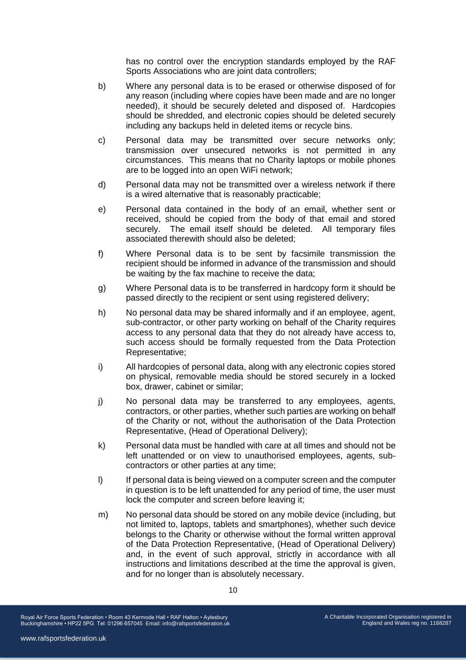has no control over the encryption standards employed by the RAF Sports Associations who are joint data controllers;

- b) Where any personal data is to be erased or otherwise disposed of for any reason (including where copies have been made and are no longer needed), it should be securely deleted and disposed of. Hardcopies should be shredded, and electronic copies should be deleted securely including any backups held in deleted items or recycle bins.
- c) Personal data may be transmitted over secure networks only; transmission over unsecured networks is not permitted in any circumstances. This means that no Charity laptops or mobile phones are to be logged into an open WiFi network;
- d) Personal data may not be transmitted over a wireless network if there is a wired alternative that is reasonably practicable;
- e) Personal data contained in the body of an email, whether sent or received, should be copied from the body of that email and stored securely. The email itself should be deleted. All temporary files associated therewith should also be deleted;
- f) Where Personal data is to be sent by facsimile transmission the recipient should be informed in advance of the transmission and should be waiting by the fax machine to receive the data;
- g) Where Personal data is to be transferred in hardcopy form it should be passed directly to the recipient or sent using registered delivery;
- h) No personal data may be shared informally and if an employee, agent, sub-contractor, or other party working on behalf of the Charity requires access to any personal data that they do not already have access to, such access should be formally requested from the Data Protection Representative;
- i) All hardcopies of personal data, along with any electronic copies stored on physical, removable media should be stored securely in a locked box, drawer, cabinet or similar;
- j) No personal data may be transferred to any employees, agents, contractors, or other parties, whether such parties are working on behalf of the Charity or not, without the authorisation of the Data Protection Representative, (Head of Operational Delivery);
- k) Personal data must be handled with care at all times and should not be left unattended or on view to unauthorised employees, agents, subcontractors or other parties at any time;
- I) If personal data is being viewed on a computer screen and the computer in question is to be left unattended for any period of time, the user must lock the computer and screen before leaving it;
- m) No personal data should be stored on any mobile device (including, but not limited to, laptops, tablets and smartphones), whether such device belongs to the Charity or otherwise without the formal written approval of the Data Protection Representative, (Head of Operational Delivery) and, in the event of such approval, strictly in accordance with all instructions and limitations described at the time the approval is given, and for no longer than is absolutely necessary.

Royal Air Force Sports Federation • Room 43 Kermode Hall • RAF Halton • Aylesbury Buckinghamshire • HP22 5PG Tel: 01296 657045 Email: info@rafsportsfederation.uk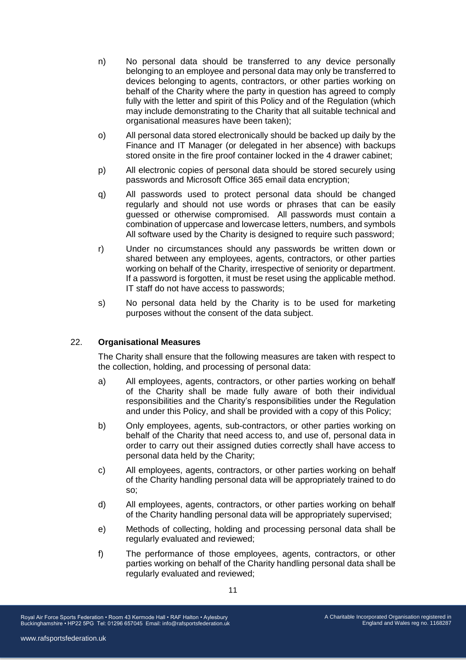- n) No personal data should be transferred to any device personally belonging to an employee and personal data may only be transferred to devices belonging to agents, contractors, or other parties working on behalf of the Charity where the party in question has agreed to comply fully with the letter and spirit of this Policy and of the Regulation (which may include demonstrating to the Charity that all suitable technical and organisational measures have been taken);
- o) All personal data stored electronically should be backed up daily by the Finance and IT Manager (or delegated in her absence) with backups stored onsite in the fire proof container locked in the 4 drawer cabinet;
- p) All electronic copies of personal data should be stored securely using passwords and Microsoft Office 365 email data encryption;
- q) All passwords used to protect personal data should be changed regularly and should not use words or phrases that can be easily guessed or otherwise compromised. All passwords must contain a combination of uppercase and lowercase letters, numbers, and symbols All software used by the Charity is designed to require such password;
- r) Under no circumstances should any passwords be written down or shared between any employees, agents, contractors, or other parties working on behalf of the Charity, irrespective of seniority or department. If a password is forgotten, it must be reset using the applicable method. IT staff do not have access to passwords;
- s) No personal data held by the Charity is to be used for marketing purposes without the consent of the data subject.

## 22. **Organisational Measures**

The Charity shall ensure that the following measures are taken with respect to the collection, holding, and processing of personal data:

- a) All employees, agents, contractors, or other parties working on behalf of the Charity shall be made fully aware of both their individual responsibilities and the Charity's responsibilities under the Regulation and under this Policy, and shall be provided with a copy of this Policy;
- b) Only employees, agents, sub-contractors, or other parties working on behalf of the Charity that need access to, and use of, personal data in order to carry out their assigned duties correctly shall have access to personal data held by the Charity;
- c) All employees, agents, contractors, or other parties working on behalf of the Charity handling personal data will be appropriately trained to do so;
- d) All employees, agents, contractors, or other parties working on behalf of the Charity handling personal data will be appropriately supervised;
- e) Methods of collecting, holding and processing personal data shall be regularly evaluated and reviewed;
- f) The performance of those employees, agents, contractors, or other parties working on behalf of the Charity handling personal data shall be regularly evaluated and reviewed;

Royal Air Force Sports Federation • Room 43 Kermode Hall • RAF Halton • Aylesbury Buckinghamshire • HP22 5PG Tel: 01296 657045 Email: info@rafsportsfederation.uk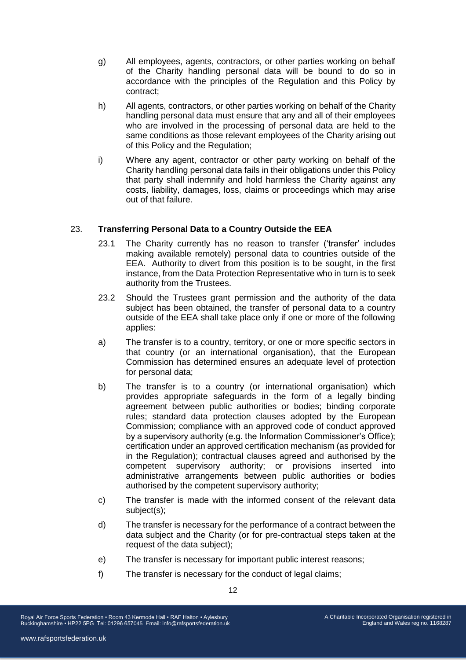- g) All employees, agents, contractors, or other parties working on behalf of the Charity handling personal data will be bound to do so in accordance with the principles of the Regulation and this Policy by contract;
- h) All agents, contractors, or other parties working on behalf of the Charity handling personal data must ensure that any and all of their employees who are involved in the processing of personal data are held to the same conditions as those relevant employees of the Charity arising out of this Policy and the Regulation;
- i) Where any agent, contractor or other party working on behalf of the Charity handling personal data fails in their obligations under this Policy that party shall indemnify and hold harmless the Charity against any costs, liability, damages, loss, claims or proceedings which may arise out of that failure.

# 23. **Transferring Personal Data to a Country Outside the EEA**

- 23.1 The Charity currently has no reason to transfer ('transfer' includes making available remotely) personal data to countries outside of the EEA. Authority to divert from this position is to be sought, in the first instance, from the Data Protection Representative who in turn is to seek authority from the Trustees.
- 23.2 Should the Trustees grant permission and the authority of the data subject has been obtained, the transfer of personal data to a country outside of the EEA shall take place only if one or more of the following applies:
- a) The transfer is to a country, territory, or one or more specific sectors in that country (or an international organisation), that the European Commission has determined ensures an adequate level of protection for personal data;
- b) The transfer is to a country (or international organisation) which provides appropriate safeguards in the form of a legally binding agreement between public authorities or bodies; binding corporate rules; standard data protection clauses adopted by the European Commission; compliance with an approved code of conduct approved by a supervisory authority (e.g. the Information Commissioner's Office); certification under an approved certification mechanism (as provided for in the Regulation); contractual clauses agreed and authorised by the competent supervisory authority; or provisions inserted into administrative arrangements between public authorities or bodies authorised by the competent supervisory authority;
- c) The transfer is made with the informed consent of the relevant data subject(s);
- d) The transfer is necessary for the performance of a contract between the data subject and the Charity (or for pre-contractual steps taken at the request of the data subject);
- e) The transfer is necessary for important public interest reasons;
- f) The transfer is necessary for the conduct of legal claims;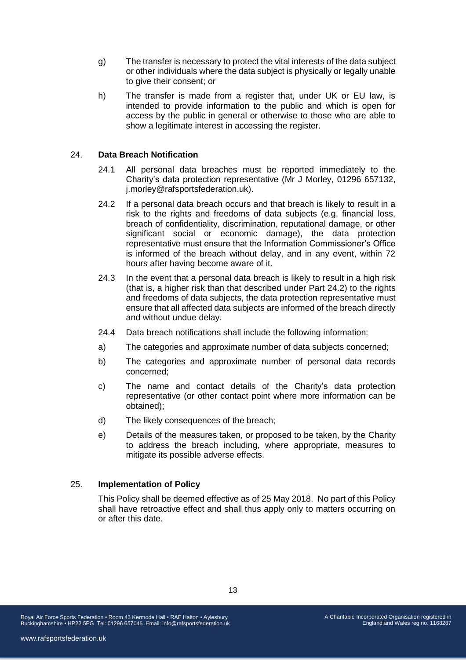- g) The transfer is necessary to protect the vital interests of the data subject or other individuals where the data subject is physically or legally unable to give their consent; or
- h) The transfer is made from a register that, under UK or EU law, is intended to provide information to the public and which is open for access by the public in general or otherwise to those who are able to show a legitimate interest in accessing the register.

### 24. **Data Breach Notification**

- 24.1 All personal data breaches must be reported immediately to the Charity's data protection representative (Mr J Morley, 01296 657132, j.morley@rafsportsfederation.uk).
- 24.2 If a personal data breach occurs and that breach is likely to result in a risk to the rights and freedoms of data subjects (e.g. financial loss, breach of confidentiality, discrimination, reputational damage, or other significant social or economic damage), the data protection representative must ensure that the Information Commissioner's Office is informed of the breach without delay, and in any event, within 72 hours after having become aware of it.
- 24.3 In the event that a personal data breach is likely to result in a high risk (that is, a higher risk than that described under Part 24.2) to the rights and freedoms of data subjects, the data protection representative must ensure that all affected data subjects are informed of the breach directly and without undue delay.
- 24.4 Data breach notifications shall include the following information:
- a) The categories and approximate number of data subjects concerned;
- b) The categories and approximate number of personal data records concerned;
- c) The name and contact details of the Charity's data protection representative (or other contact point where more information can be obtained);
- d) The likely consequences of the breach;
- e) Details of the measures taken, or proposed to be taken, by the Charity to address the breach including, where appropriate, measures to mitigate its possible adverse effects.

#### 25. **Implementation of Policy**

This Policy shall be deemed effective as of 25 May 2018. No part of this Policy shall have retroactive effect and shall thus apply only to matters occurring on or after this date.

Royal Air Force Sports Federation • Room 43 Kermode Hall • RAF Halton • Aylesbury Buckinghamshire • HP22 5PG Tel: 01296 657045 Email: info@rafsportsfederation.uk